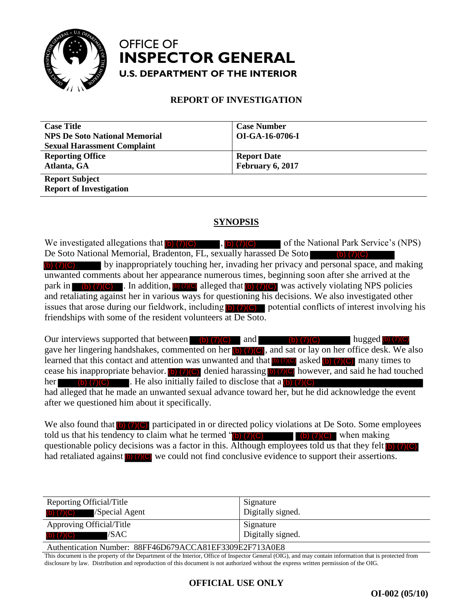

## OFFICE OF **U.S. DEPARTMENT OF THE INTERIOR INSPECTOR GENERAL**

#### **REPORT OF INVESTIGATION**

| <b>Case Title</b>                    | <b>Case Number</b> |
|--------------------------------------|--------------------|
| <b>NPS De Soto National Memorial</b> | OI-GA-16-0706-I    |
| <b>Sexual Harassment Complaint</b>   |                    |
| <b>Reporting Office</b>              | <b>Report Date</b> |
| Atlanta, GA                          | February 6, 2017   |
| <b>Report Subject</b>                |                    |
| <b>Report of Investigation</b>       |                    |

#### **SYNOPSIS**

We investigated allegations that  $\overline{(\bullet)}$  (7)(C)  $\overline{(\bullet)}$  (7)(C) of the National Park Service's (NPS) De Soto National Memorial, Bradenton, FL, sexually harassed De Soto by inappropriately touching her, invading her privacy and personal space, and making unwanted comments about her appearance numerous times, beginning soon after she arrived at the park in  $\bullet$  (b) (7)(c). In addition, (b) (7)(c) alleged that (b) (7)(c) was actively violating NPS policies and retaliating against her in various ways for questioning his decisions. We also investigated other issues that arose during our fieldwork, including  $\Box$   $(7)(C)$  potential conflicts of interest involving his friendships with some of the resident volunteers at De Soto. We movestigated lighting that **by (7)(C)** and the magnitude communistical dilegations that **E Divisional Park Bernard Communistical** by inappropriately touching her, invading her privacy and personal space, and makin ma

Our interviews supported that between (b)  $(7)(C)$  and (b)  $(7)(C)$  hugged (b)  $(7)(C)$ gave her lingering handshakes, commented on her  $\left[\frac{1}{2}\right]$  (7)(C), and sat or lay on her office desk. We also learned that this contact and attention was unwanted and that  $\left[0\right]$  (7)(0) asked (b) (7)(0) many times to cease his inappropriate behavior. (b)  $(7)(C)$  denied harassing (b)  $(7)(C)$  however, and said he had touched her  $\qquad$  (b) (7)(C). He also initially failed to disclose that a (b) (7)(C) had alleged that he made an unwanted sexual advance toward her, but he did acknowledge the event after we questioned him about it specifically. De Stoto National Memorial, Bradenton, FL, escausily harassed De Stoto<br> **IDENTIFY (FIGURE 10)** (b) (b) (FIGURE 10) (columps here privacy and personal space, and malunvanted comments about her appearance numerous times, be

We also found that  $(b)$  (7)(C) participated in or directed policy violations at De Soto. Some employees told us that his tendency to claim what he termed  $\binom{n}{0}$  (7)(C) (b) (7)(C) when making questionable policy decisions was a factor in this. Although employees told us that they felt  $\Box$  (7)(C) had retaliated against **b**  $\overline{Q}$  we could not find conclusive evidence to support their assertions.

| Reporting Official/Title                                | Signature         |  |
|---------------------------------------------------------|-------------------|--|
| (b) $(7)(C)$ /Special Agent                             | Digitally signed. |  |
| Approving Official/Title                                | Signature         |  |
| (b) $(7)(C)$ /SAC                                       | Digitally signed. |  |
| Authentication Number: 88FF46D679ACCA81EF3309E2F713A0E8 |                   |  |

This document is the property of the Department of the Interior, Office of Inspector General (OIG), and may contain information that is protected from disclosure by law. Distribution and reproduction of this document is not authorized without the express written permission of the OIG.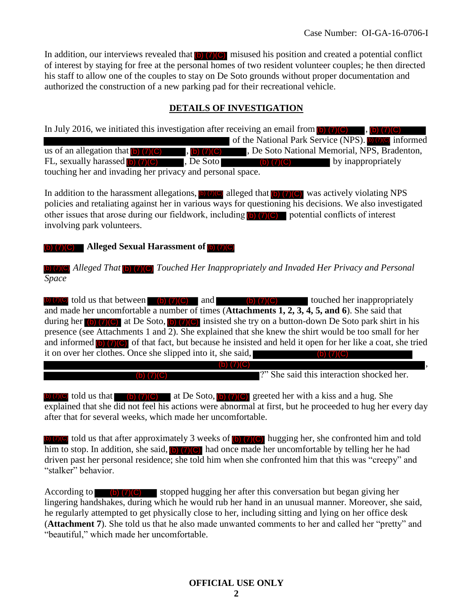In addition, our interviews revealed that  $\overline{b}$  (7)(C) misused his position and created a potential conflict of interest by staying for free at the personal homes of two resident volunteer couples; he then directed his staff to allow one of the couples to stay on De Soto grounds without proper documentation and authorized the construction of a new parking pad for their recreational vehicle.

### **DETAILS OF INVESTIGATION**

In July 2016, we initiated this investigation after receiving an email from  $\langle b \rangle$   $(7)(C)$ , of the National Park Service (NPS). **b** (7)(C) informed  $\overline{v_{\text{(b)}}(7)(C)}$ , De Soto National Memorial, NPS, Bradenton, FL, sexually harassed  $\overline{(\bullet)(7)(C)}$ , De Soto  $\overline{(\bullet)(7)(C)}$  by inappropriately touching her and invading her privacy and personal space.  $(b)$   $(7)(C)$ us of an allegation that  $(b)$   $(7)(C)$ 

In addition to the harassment allegations,  $\omega$  (7)(C) alleged that  $\omega$  (7)(C) was actively violating NPS policies and retaliating against her in various ways for questioning his decisions. We also investigated other issues that arose during our fieldwork, including  $\left(\frac{b}{c}\right)$  (7)(C) potential conflicts of interest involving park volunteers.

**Alleged Sexual Harassment of**  (b) (7)(C)

Alleged That **(b) (7)(C)** Touched Her Inappropriately and Invaded Her Privacy and Personal *Space* 

(b)  $(7)(C)$  told us that between (b)  $(7)(C)$  and (b)  $(7)(C)$  touched her inappropriately and made her uncomfortable a number of times (**Attachments 1, 2, 3, 4, 5, and 6**). She said that during her (b)  $(7)(C)$  at De Soto, (b)  $(7)(C)$  insisted she try on a button-down De Soto park shirt in his presence (see Attachments 1 and 2). She explained that she knew the shirt would be too small for her and informed  $\overline{(\bullet)}$  (7)(C) of that fact, but because he insisted and held it open for her like a coat, she tried it on over her clothes. Once she slipped into it, she said, , FL, sexually harassed **DV(C)** is De Soto (c) (7)(C) touching her and invariang her mixing ware proposed in a particular of the harassment allegations. The proposed policies and retaliating against her in various ways for

?" She said this interaction shocked her.

told us that (b)  $(7)(C)$  at De Soto, (b)  $(7)(C)$  greeted her with a kiss and a hug. She explained that she did not feel his actions were abnormal at first, but he proceeded to hug her every day after that for several weeks, which made her uncomfortable.

told us that after approximately 3 weeks of  $\left(\frac{1}{2}\right)$  (7)(C) hugging her, she confronted him and told  $\overline{\text{him to stop.}}$  In addition, she said,  $\overline{\text{lo}}$  (7)(**G**) had once made her uncomfortable by telling her he had driven past her personal residence; she told him when she confronted him that this was "creepy" and "stalker" behavior.

According to  $\overline{6}$  (7)(C) stopped hugging her after this conversation but began giving her lingering handshakes, during which he would rub her hand in an unusual manner. Moreover, she said, he regularly attempted to get physically close to her, including sitting and lying on her office desk (**Attachment 7**). She told us that he also made unwanted comments to her and called her "pretty" and "beautiful," which made her uncomfortable. (b) (7)(C)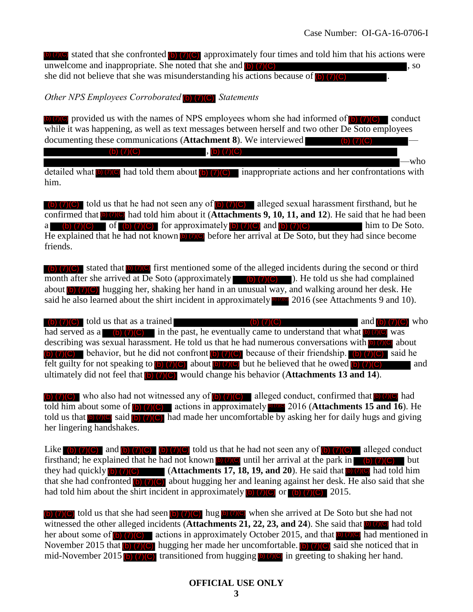$\bullet$  (7)(C) stated that she confronted  $\bullet$  (7)(C) approximately four times and told him that his actions were unwelcome and inappropriate. She noted that she and  $(b)$   $(7)(C)$ , so she did not believe that she was misunderstanding his actions because of  $(b)$   $(7)(C)$ .

*Other NPS Employees Corroborated* (b) (7)(C) Statements

(b) (7)(C) provided us with the names of NPS employees whom she had informed of  $(b)$  (7)(C) conduct while it was happening, as well as text messages between herself and two other De Soto employees documenting these communications (**Attachment 8**). We interviewed —

> , (b) (7)(C) —who

detailed what  $\left(\bullet\right)$  (7)(C) had told them about  $\left(\bullet\right)$  (7)(C) inappropriate actions and her confrontations with him.

told us that he had not seen any of  $\left(\frac{1}{2}\right)$  alleged sexual harassment firsthand, but he confirmed that **(b)** (7)(C) had told him about it (**Attachments 9, 10, 11, and 12**). He said that he had been a (b)  $(7)(C)$  of (b)  $(7)(C)$  for approximately (b)  $(7)(C)$  and (b)  $(7)(C)$  him to De Soto. He explained that he had not known **b** (7)(C) before her arrival at De Soto, but they had since become friends.

stated that  $\phi$  (7)(C) first mentioned some of the alleged incidents during the second or third month after she arrived at De Soto (approximately  $\Box$  (b) (7)(C) ). He told us she had complained about (b) (7) (C) hugging her, shaking her hand in an unusual way, and walking around her desk. He said he also learned about the shirt incident in approximately **properties** 2016 (see Attachments 9 and 10).

(b)  $(7)(C)$  told us that as a trained (b)  $(7)(C)$  and  $(6)(7)(C)$  who had served as a (b)  $(7)(C)$  in the past, he eventually came to understand that what (b)  $(7)(C)$  was describing was sexual harassment. He told us that he had numerous conversations with **b** (7)<sup>(C)</sup> about (b)  $(7)(C)$  behavior, but he did not confront (b)  $(7)(C)$  because of their friendship. (b)  $(7)(C)$  said he felt guilty for not speaking to  $\overline{b}$  (7)(C) about  $\overline{b}$  (7)(C) but he believed that he owed  $\overline{b}$  (7)(C) and ultimately did not feel that **(b)** (7)(C) would change his behavior (Attachments 13 and 14). (b) (7)(C) for approximately [b) (7)(c) and [b) (7)(c)<br>had not known **proven** before her arrival at De Soto, but they is<br>the source of the alleged incidents during the<br>d at De Soto (approximately  $\bullet$  (b) (7)(c) )). He to Goutmenting these communications (Aften charm in S). We interviewed the confrontnuited that the matrix of the confrontnuited by the station of the confrontnuited by the station of the station of the station of the station

(b)  $(7)(C)$  who also had not witnessed any of  $(b)$   $(7)(C)$  alleged conduct, confirmed that  $(b)$   $(7)(C)$  had told him about some of  $\overline{(\bullet)}$  (7)(C) actions in approximately **area** 2016 (**Attachments 15 and 16**). He told us that **b** (7)<sup>(C)</sup> said (b) (7)(C) had made her uncomfortable by asking her for daily hugs and giving her lingering handshakes.

Like (b)  $(7)(C)$  and (b)  $(7)(C)$  (b)  $(7)(C)$  told us that he had not seen any of (b)  $(7)(C)$  alleged conduct firsthand; he explained that he had not known **b**  $(7)$ (C) until her arrival at the park in **b**  $(7)$  (C) but they had quickly  $(b)$  (7)(C) (Attachments 17, 18, 19, and 20). He said that  $(b)$  (7)(C) had told him that she had confronted (b) (7)(C) about hugging her and leaning against her desk. He also said that she had told him about the shirt incident in approximately  $\left(\frac{b}{c}\right)$  (7) (C) or  $\left(\frac{b}{c}\right)$  (7) (C) 2015.

(b)  $(7)(C)$  told us that she had seen (b)  $(7)(C)$  hug (b)  $(7)(C)$  when she arrived at De Soto but she had not witnessed the other alleged incidents (Attachments 21, 22, 23, and 24). She said that **b** (7)(C) had told her about some of  $(b)$  (7)(C) actions in approximately October 2015, and that  $(b)$  (7)(C) had mentioned in November 2015 that  $\phi$  (7)(C) hugging her made her uncomfortable.  $\phi$  (7)(C) said she noticed that in mid-November 2015 (b) (7)(c) transitioned from hugging  $\phi$  (7)(c) in greeting to shaking her hand. (b)  $(7)(C)$ <br>(at (b)  $(7)(C)$ <br>15 (b)  $(7)(C)$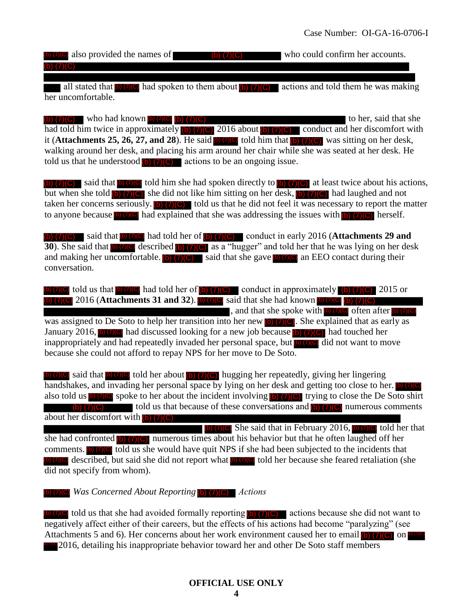$\phi$  (7)(C) also provided the names of  $\phi$  (7)(C) who could confirm her accounts. (b) (7)(C)

all stated that  $\circ$  (7)(C) had spoken to them about (b) (7)(C) actions and told them he was making her uncomfortable.

(b)  $(7)(C)$  who had known (b)  $(7)(C)$  (b)  $(7)(C)$ had told him twice in approximately (b) (7) (C) 2016 about (b) (7) (C) conduct and her discomfort with had told him twice in approximately (b) (7)(C) 2016 about (b) (7)(C) conduct and her discomfort wi<br>it (**Attachments 25, 26, 27, and 28**). He said **b** (7)(C) told him that **(b) (7)(C)** was sitting on her desk, walking around her desk, and placing his arm around her chair while she was seated at her desk. He told us that he understood  $\left(\frac{b}{c}\right)$  (7)(C) actions to be an ongoing issue.

(b)  $(7)(C)$  said that (b) (7)(c) told him she had spoken directly to (b)  $(7)(C)$  at least twice about his actions, but when she told  $\overline{b}$  (7)(C) she did not like him sitting on her desk,  $\overline{b}$  (7)(C) had laughed and not taken her concerns seriously. (b)  $(7)(C)$  told us that he did not feel it was necessary to report the matter to anyone because  $\bullet$  (7)(C) had explained that she was addressing the issues with  $\bullet$  (7)(C) herself.

(b)  $(7)(C)$  said that **b**  $(7)(C)$  had told her of **(b)**  $(7)(C)$  conduct in early 2016 (**Attachments 29 and 30**). She said that **b** (7)(**C**) described **(b)** (7)(**C**) as a "hugger" and told her that he was lying on her desk and making her uncomfortable. (b)  $(7)(C)$  said that she gave (b)  $(7)(C)$  an EEO contact during their conversation.

(b) (7)(C) told us that (b) (7)(C) had told her of (b) (7)(C) conduct in approximately (b) (7)(C) 2015 or 2016 (**Attachments 31 and 32**). **(b)** (7)(C) said that she had known **(b)** (7)(C) (b) (7)(C) , and that she spoke with  $\Box$  (7)( $\Box$ ) often after  $\Box$ ) (7)( $\Box$ ) was assigned to De Soto to help her transition into her new **b**  $\overline{C}$  $C$ . She explained that as early as January 2016,  $\circ$  (7)(C) had discussed looking for a new job because (b) (7)(C) had touched her inappropriately and had repeatedly invaded her personal space, but  $\Box$   $\Box$  did not want to move because she could not afford to repay NPS for her move to De Soto. **EXERCT IN the CONDUCTE CONSULTERING THE CONSULTERING TO THE UNIT IS A CONSULTERING TO THE UNIT IS A CONSULTERING TO THE UNIT IS A CONSULTERING TO THE UNIT IS A CONSULTERING TO THE UNIT IS A CONSULTERING TO THE UNIT IS A C EXERCISE THE MANUAL CONFIRM (FOR THE MANUAL CONFIRM (FOR THE MANUAL CONFIRM (FOR THE MANUAL CONFIRM) (Not obtain the method in the method in the method in the method in the method in the method in the method in the metho** 

(b)  $(7)(C)$  said that **b**)  $(7)(C)$  told her about **(b)**  $(7)(C)$  hugging her repeatedly, giving her lingering handshakes, and invading her personal space by lying on her desk and getting too close to her. **b**) (7)(C) also told us **b** (7)(C) spoke to her about the incident involving **b** (7)(C) trying to close the De Soto shirt (b)  $\overline{(7)(C)}$  told us that because of these conversations and  $\overline{(D) (7)(C)}$  numerous comments about her discomfort with (b) (7)(C)

 $\Box$  (b)  $\Box$  (O) She said that in February 2016,  $\Box$   $\Box$  (O) told her that she had confronted  $(b)$  (7)(C) numerous times about his behavior but that he often laughed off her comments. (b) (7)(C) told us she would have quit NPS if she had been subjected to the incidents that  $\bullet$   $\bullet$   $\bullet$   $\bullet$  described, but said she did not report what  $\bullet$   $\bullet$  told her because she feared retaliation (she did not specify from whom).

*Was Concerned About Reporting* (b) (7)(C) *Actions* 

told us that she had avoided formally reporting  $\left(\frac{b}{c}\right)$  (7)(C) actions because she did not want to negatively affect either of their careers, but the effects of his actions had become "paralyzing" (see Attachments 5 and 6). Her concerns about her work environment caused her to email  $\left( \frac{\Delta}{\Delta} \right)$  on  $\frac{\Delta}{\Delta}$ **Drog** 2016, detailing his inappropriate behavior toward her and other De Soto staff members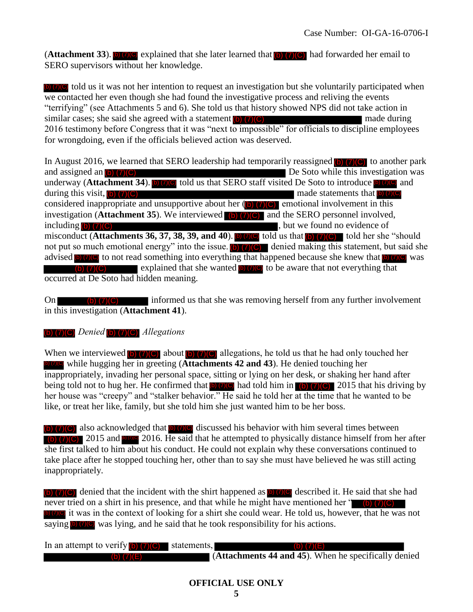$(Attentionment 33)$ . (b)  $(7)(C)$  explained that she later learned that (b)  $(7)(C)$  had forwarded her email to SERO supervisors without her knowledge.

**(b)** (7) C told us it was not her intention to request an investigation but she voluntarily participated when we contacted her even though she had found the investigative process and reliving the events "terrifying" (see Attachments 5 and 6). She told us that history showed NPS did not take action in similar cases; she said she agreed with a statement  $(b)$   $(7)(C)$  made during made during 2016 testimony before Congress that it was "next to impossible" for officials to discipline employees for wrongdoing, even if the officials believed action was deserved.

In August 2016, we learned that SERO leadership had temporarily reassigned **(b)** (7) (C) to another park  $\blacksquare$  De Soto while this investigation was underway (**Attachment 34**). **b** (7)(C) told us that SERO staff visited De Soto to introduce **b** (7)(C) and during this visit, (b) (7)(C) and the statements that made statements that considered inappropriate and unsupportive about her  $(\bullet)$  (7)(C) emotional involvement in this investigation (**Attachment 35**). We interviewed **(b) (7)(C)** and the SERO personnel involved, including (b) (7)(C) including (b) (7)(C) misconduct (**Attachments 36, 37, 38, 39, and 40**).  $\bullet$  (7)<sup>(C)</sup> told us that  $\bullet$  (7)(C) told her she "should not put so much emotional energy" into the issue. (b)  $(7)(C)$  denied making this statement, but said she advised  $\bullet$  ( $\bullet$ ) ( $\bullet$ ) to not read something into everything that happened because she knew that  $\bullet$  ( $\bullet$ ) ( $\bullet$ ) was  $\overline{(\mathbf{b})}$  (7)  $\overline{(\mathbf{c})}$  explained that she wanted  $\overline{(\mathbf{b})}$  to be aware that not everything that occurred at De Soto had hidden meaning. and assigned an  $(b)$   $(7)(C)$ during this visit,  $(b)$   $(7)(C)$ including  $(b)$   $(7)(C)$ (Attachment 35). The consistent in the basis and the select learned that the basis of the select the select the select the select the select the select the select the select the select the select the select the select the **Example 1** 35). We interviewed (b) (7)(e)<br>
chments 36, 37, 38, 39, and 40). **Drawer**<br>
motional energy" into the issue. **DVCC**<br>
not read something into everything that<br>
explained that she wanted **DVCC**<br>
to had hidden mean

On (b)  $(7)(C)$  informed us that she was removing herself from any further involvement in this investigation (**Attachment 41**).

#### **(b)** (7)**(C)** Denied **(b)** (7)**(C)** Allegations

When we interviewed  $\overline{(\bullet)}$  (7)(C) about  $\overline{(\bullet)}$  (7)(C) allegations, he told us that he had only touched her while hugging her in greeting (**Attachments 42 and 43**). He denied touching her inappropriately, invading her personal space, sitting or lying on her desk, or shaking her hand after being told not to hug her. He confirmed that  $\left| \right|$  (7)(0) had told him in  $\left| \right|$  (7)(0) 2015 that his driving by her house was "creepy" and "stalker behavior." He said he told her at the time that he wanted to be like, or treat her like, family, but she told him she just wanted him to be her boss.

 $\overline{a}$  (b) (7)(C) also acknowledged that  $\overline{b}$  (7)(C) discussed his behavior with him several times between **(b)** (7) **(c)** 2015 and **prog** 2016. He said that he attempted to physically distance himself from her after she first talked to him about his conduct. He could not explain why these conversations continued to take place after he stopped touching her, other than to say she must have believed he was still acting inappropriately.

 $\overline{b}$  (7)(C) denied that the incident with the shirt happened as  $\overline{b}$  (7)(C) described it. He said that she had never tried on a shirt in his presence, and that while he might have mentioned her " (b) (7) (C) **DEC** it was in the context of looking for a shirt she could wear. He told us, however, that he was not saying  $\Box$  (7)  $\Box$  was lying, and he said that he took responsibility for his actions.

| In an attempt to verify $(b)$ $(7)(C)$ statements, | (b) $(7)(E)$                                         |
|----------------------------------------------------|------------------------------------------------------|
| (b) $(7)(E)$                                       | (Attachments 44 and 45). When he specifically denied |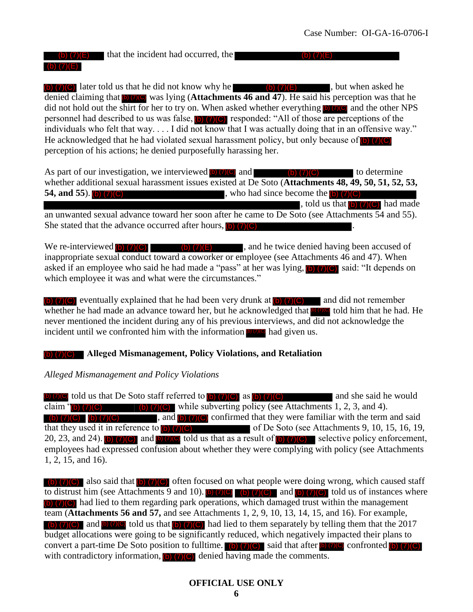# (b)  $(7)(E)$  that the incident had occurred, the

(b)  $(7)(C)$  later told us that he did not know why he (b)  $(7)(E)$ , but when asked he denied claiming that **DIOI** was lying (**Attachments 46 and 47**). He said his perception was that he did not hold out the shirt for her to try on. When asked whether everything  $\Box$   $\Box$   $\Box$  and the other NPS personnel had described to us was false,  $\Box$   $(7)(C)$  responded: "All of those are perceptions of the individuals who felt that way. . . . I did not know that I was actually doing that in an offensive way." He acknowledged that he had violated sexual harassment policy, but only because of **D** perception of his actions; he denied purposefully harassing her.

As part of our investigation, we interviewed  $\left(\frac{b}{c}\right)$  (7)(C)  $\left(\frac{c}{c}\right)$  (7)(C) to determine whether additional sexual harassment issues existed at De Soto (**Attachments 48, 49, 50, 51, 52, 53, 54, and 55**). , who had since become the (b) (7)(C) , told us that  $(b)$   $(7)(C)$  had made an unwanted sexual advance toward her soon after he came to De Soto (see Attachments 54 and 55). She stated that the advance occurred after hours,  $\mathbf{b}$   $\mathbf{7}$   $\mathbf{C}$ 54, and 55). **(b)**  $(7)(C)$ 

We re-interviewed (b)  $(7)(C)$  (b)  $(7)(E)$ , and he twice denied having been accused of inappropriate sexual conduct toward a coworker or employee (see Attachments 46 and 47). When asked if an employee who said he had made a "pass" at her was lying,  $\Box$   $\Box$   $\Box$  said: "It depends on which employee it was and what were the circumstances."

(b)  $(7)(C)$  eventually explained that he had been very drunk at  $(b)$   $(7)(C)$  and did not remember whether he had made an advance toward her, but he acknowledged that **b** (7)<sup>(c)</sup> told him that he had. He never mentioned the incident during any of his previous interviews, and did not acknowledge the incident until we confronted him with the information  $\Box$  (7)(C) had given us.

#### **Alleged Mismanagement, Policy Violations, and Retaliation**  (b) (7)(C)

*Alleged Mismanagement and Policy Violations* 

told us that De Soto staff referred to  $(b)$  (7)(C) as  $(b)$  (7)(C) and she said he would claim  $\pi$  (b) (7)(C) (b) (7)(C) while subverting policy (see Attachments 1, 2, 3, and 4). , and  $\overline{b}$  (7)(C) confirmed that they were familiar with the term and said that they used it in reference to  $\Box$  (7)(C) of De Soto (see Attachments 9, 10, 15, 16, 19, 20, 23, and 24). (b) (7)(C) and  $\overline{b}$  (7)(C) told us that as a result of  $\overline{b}$ ) (7)(C) selective policy enforcement, employees had expressed confusion about whether they were complying with policy (see Attachments 1, 2, 15, and 16).

also said that  $\begin{pmatrix} 0 \\ 0 \end{pmatrix}$  (7)(C) often focused on what people were doing wrong, which caused staff to distrust him (see Attachments 9 and 10). (b)  $(7)(C)$  (b)  $(7)(C)$  and (b)  $(7)(C)$  told us of instances where (b) (7)(C) had lied to them regarding park operations, which damaged trust within the management team (**Attachments 56 and 57,** and see Attachments 1, 2, 9, 10, 13, 14, 15, and 16). For example, and  $\phi$  (7)(C) told us that  $\phi$  (7)(C) had lied to them separately by telling them that the 2017 budget allocations were going to be significantly reduced, which negatively impacted their plans to convert a part-time De Soto position to fulltime. (b)  $(7)(C)$  said that after **b**  $(7)(C)$  confronted **b**  $(7)(C)$ with contradictory information,  $\left( \bullet \right)$  (7)(C) denied having made the comments. **EXERCT CONSISTENT THE CONSISTENT CONSISTENT IN THE CONSISTENT IN THE CONSISTENT (ACCONSISTENT IN THE CONSISTENT CONSISTENT IN THE CONSISTENT ON THE CONSISTENT CONSISTENT (ACCONSISTENT IN THE CONSISTENT CONSISTENT IN THE**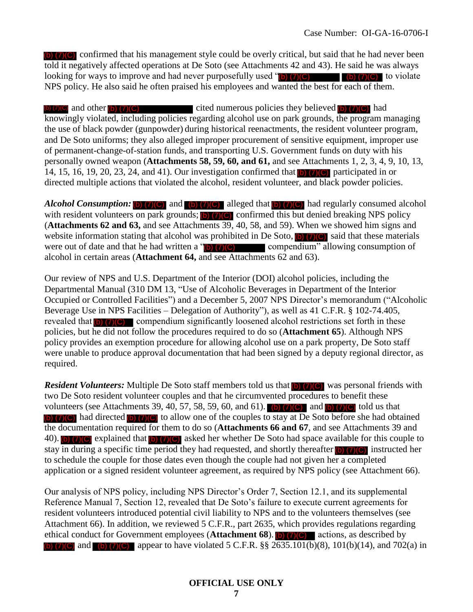(b) (7)(C) confirmed that his management style could be overly critical, but said that he had never been told it negatively affected operations at De Soto (see Attachments 42 and 43). He said he was always looking for ways to improve and had never purposefully used  $\binom{[b]}{(7)}$  (C)  $\binom{[c]}{(7)}$  to violate NPS policy. He also said he often praised his employees and wanted the best for each of them.

and other  $(b)$  (7)(C) cited numerous policies they believed  $(b)$  (7)(C) had knowingly violated, including policies regarding alcohol use on park grounds, the program managing the use of black powder (gunpowder) during historical reenactments, the resident volunteer program, and De Soto uniforms; they also alleged improper procurement of sensitive equipment, improper use of permanent-change-of-station funds, and transporting U.S. Government funds on duty with his personally owned weapon (**Attachments 58, 59, 60, and 61,** and see Attachments 1, 2, 3, 4, 9, 10, 13, 14, 15, 16, 19, 20, 23, 24, and 41). Our investigation confirmed that  $\overline{[6]}$  (7)(C) participated in or directed multiple actions that violated the alcohol, resident volunteer, and black powder policies.

*Alcohol Consumption:* (b) (7)(C) and (b) (7)(C) alleged that (b) (7)(C) had regularly consumed alcohol with resident volunteers on park grounds;  $\overline{[6]}$   $\overline{[7]}$  confirmed this but denied breaking NPS policy (**Attachments 62 and 63,** and see Attachments 39, 40, 58, and 59). When we showed him signs and website information stating that alcohol was prohibited in De Soto,  $\Box$  (7)(C) said that these materials were out of date and that he had written a  $\binom{n}{0}$  (7)(C) compendium" allowing consumption of alcohol in certain areas (**Attachment 64,** and see Attachments 62 and 63). (b) (7)(C)

Our review of NPS and U.S. Department of the Interior (DOI) alcohol policies, including the Departmental Manual (310 DM 13, "Use of Alcoholic Beverages in Department of the Interior Occupied or Controlled Facilities") and a December 5, 2007 NPS Director's memorandum ("Alcoholic Beverage Use in NPS Facilities – Delegation of Authority"), as well as 41 C.F.R. § 102-74.405, revealed that  $\left(\frac{b}{c}\right)$  (7)(C) compendium significantly loosened alcohol restrictions set forth in these policies, but he did not follow the procedures required to do so (**Attachment 65**). Although NPS policy provides an exemption procedure for allowing alcohol use on a park property, De Soto staff were unable to produce approval documentation that had been signed by a deputy regional director, as required. (b) (7)(C) (b) (7)(C) (b) (7)(C) (b) (7)(C) (b) (7)(C) (b) (7)(C)

*Resident Volunteers:* Multiple De Soto staff members told us that **(b)** (7)(C) was personal friends with two De Soto resident volunteer couples and that he circumvented procedures to benefit these volunteers (see Attachments 39, 40, 57, 58, 59, 60, and 61). (b)  $(7)(C)$  and (b)  $(7)(C)$  told us that (b)  $(7)(C)$  had directed (b)  $(7)(C)$  to allow one of the couples to stay at De Soto before she had obtained the documentation required for them to do so (**Attachments 66 and 67**, and see Attachments 39 and 40). (b) (7) C explained that (b) (7) (C) asked her whether De Soto had space available for this couple to stay in during a specific time period they had requested, and shortly thereafter (b) (7)(C) instructed her to schedule the couple for those dates even though the couple had not given her a completed application or a signed resident volunteer agreement, as required by NPS policy (see Attachment 66).

Our analysis of NPS policy, including NPS Director's Order 7, Section 12.1, and its supplemental Reference Manual 7, Section 12, revealed that De Soto's failure to execute current agreements for resident volunteers introduced potential civil liability to NPS and to the volunteers themselves (see Attachment 66). In addition, we reviewed 5 C.F.R., part 2635, which provides regulations regarding ethical conduct for Government employees (**Attachment 68**). (b) (7)(C) actions, as described by (b) (7)(C) and (b) (7)(C) appear to have violated 5 C.F.R.  $\S § 2635.101(b)(8)$ , 101(b)(14), and 702(a) in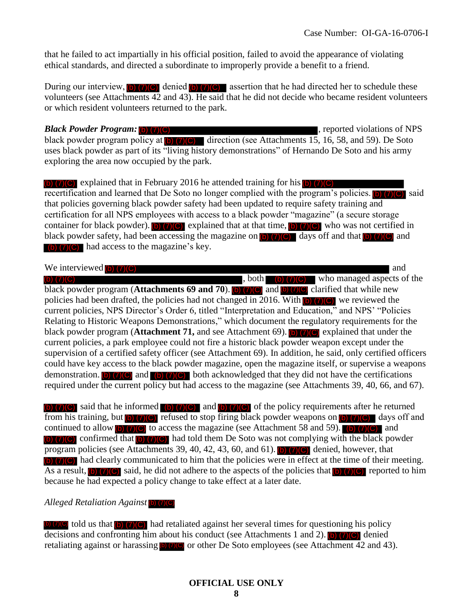that he failed to act impartially in his official position, failed to avoid the appearance of violating ethical standards, and directed a subordinate to improperly provide a benefit to a friend.

During our interview, (b) (7)(C) denied (b) (7)(C) assertion that he had directed her to schedule these volunteers (see Attachments 42 and 43). He said that he did not decide who became resident volunteers or which resident volunteers returned to the park.

#### *Black Powder Program:* **b**) (7)(**C**) **Exercise 2.1 <b>C** is a set of NPS control of NPS

*Black Powder Program:* (b) (7)(C)<br>black powder program policy at (b) (7)(C) direction (see Attachments 15, 16, 58, and 59). De Soto uses black powder as part of its "living history demonstrations" of Hernando De Soto and his army exploring the area now occupied by the park.

 $\overline{b}$  (7)(C) explained that in February 2016 he attended training for his  $\overline{b}$  (7)(C) recertification and learned that De Soto no longer complied with the program's policies. (b)  $(7)(C)$  said that policies governing black powder safety had been updated to require safety training and certification for all NPS employees with access to a black powder "magazine" (a secure storage container for black powder). (b) (7)(C) explained that at that time, (b) (7)(C) who was not certified in black powder safety, had been accessing the magazine on  $\overline{b}$  (7)(C) days off and that  $\overline{b}$  (7)(C) and (b) (7) (C) had access to the magazine's key.

We interviewed  $(b)$   $(7)(C)$ , both  $(b)$   $(7)(C)$  who managed aspects of the black powder program (**Attachments 69 and 70**). (b) (7)(C) and (b) (7)(C) clarified that while new policies had been drafted, the policies had not changed in 2016. With  $\langle \bullet \rangle$  (7)(C) we reviewed the current policies, NPS Director's Order 6, titled "Interpretation and Education," and NPS' "Policies Relating to Historic Weapons Demonstrations," which document the regulatory requirements for the black powder program (**Attachment 71**, and see Attachment 69). (b) (7) (C) explained that under the current policies, a park employee could not fire a historic black powder weapon except under the supervision of a certified safety officer (see Attachment 69). In addition, he said, only certified officers could have key access to the black powder magazine, open the magazine itself, or supervise a weapons demonstration. (b)  $(7)(C)$  and (b)  $(7)(C)$  both acknowledged that they did not have the certifications required under the current policy but had access to the magazine (see Attachments 39, 40, 66, and 67). (b) (7)(C) (b) (*b*) (**b**) had access to the magazine's key.<br>
We interviewed **EVACCONGES** (**b)** and **a**  $\overline{O}$  (**b)**  $\overline{O}$  (**c)** and  $\overline{O}$  (**b)** and  $\overline{O}$  (**c)** and  $\overline{O}$  (**c)** and  $\overline{O}$  (**c)** (**c)** and  $\overline{O}$  (**c** 

(b)  $(7)(C)$  said that he informed (b)  $(7)(C)$  and (b)  $(7)(C)$  of the policy requirements after he returned from his training, but  $\left(\frac{1}{\sqrt{C}}\right)$  refused to stop firing black powder weapons on  $\left(\frac{1}{\sqrt{C}}\right)$  days off and continued to allow (b)  $(7)(C)$  to access the magazine (see Attachment 58 and 59). (b)  $(7)(C)$  and  $\overline{b}$  (7)(C) confirmed that  $\overline{b}$  (7)(C) had told them De Soto was not complying with the black powder program policies (see Attachments 39, 40, 42, 43, 60, and 61). (b) (7)(c) denied, however, that (b) (7)(C) had clearly communicated to him that the policies were in effect at the time of their meeting. As a result, (b) (7)(C) said, he did not adhere to the aspects of the policies that (b) (7)(C) reported to him because he had expected a policy change to take effect at a later date.

#### *Alleged Retaliation Against*

told us that  $\left(\frac{1}{2}\right)$  (7)(C) had retaliated against her several times for questioning his policy Alleged Retaliation Against (b) (7)(C)<br>(b) (7)(C) told us that (b) (7)(C) had retaliated against her several times for questioning his policy<br>decisions and confronting him about his conduct (see Attachments 1 and 2). (b) retaliating against or harassing  $\bullet$  (7)(6) or other De Soto employees (see Attachment 42 and 43).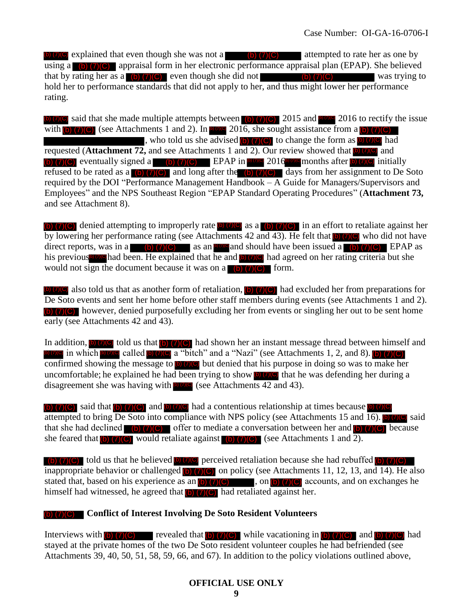$\phi(\tau)(C)$  explained that even though she was not a  $\phi(\tau)(C)$  attempted to rate her as one by using a  $(b)$  (7)(C) appraisal form in her electronic performance appraisal plan (EPAP). She believed that by rating her as a  $(b)$  (7)(C) even though she did not  $(b)$  (7)(C) was trying to hold her to performance standards that did not apply to her, and thus might lower her performance rating.

 $\phi$  (7)(C) said that she made multiple attempts between (b) (7)(C) 2015 and **DOC** 2016 to rectify the issue with  $\phi$  (7)(C) (see Attachments 1 and 2). In  $\phi$  and 2016, she sought assistance from a  $\phi$  (7)(C) , who told us she advised  $(b)$  (7)(C) to change the form as  $(b)$  (7)(C) had requested (**Attachment 72**, and see Attachments 1 and 2). Our review showed that **D**( $\overline{O(G)}$  and (b) (7)(C) eventually signed a (b) (7)(C) EPAP in  $\overline{p}$  and 2016  $\overline{p}$  months after b) (7)(C) initially refused to be rated as a  $\left(\frac{b}{c}\right)$  (7)(C) and long after the  $\left(\frac{b}{c}\right)$  (7)(C) days from her assignment to De Soto required by the DOI "Performance Management Handbook – A Guide for Managers/Supervisors and Employees" and the NPS Southeast Region "EPAP Standard Operating Procedures" (**Attachment 73,**  and see Attachment 8). **EXERCISE SOLUTION THE CONFIDENTIAL CONFIDENTIAL CONFIDENTIAL SURFACE IN A UNIVERSITY OF THE ART AND INTERFERENT AND INTERFERENT INTERFERENT CONFIDENTIAL CONFIDENTIAL CONFIDENTIAL CONFIDENTIAL CONFIDENTIAL CONFIDENTIAL CO** 

(b)  $(7)(C)$  denied attempting to improperly rate (b)  $(7)(C)$  as a (b)  $(7)(C)$  in an effort to retaliate against her by lowering her performance rating (see Attachments 42 and 43). He felt that **(b) (7)(C)** who did not have direct reports, was in a  $\binom{b}{7}(C)$  as an **prog** and should have been issued a (b) (7)(c) EPAP as his previous had been. He explained that he and **b (7)**(C) had agreed on her rating criteria but she would not sign the document because it was on a  $\left(\frac{b}{7}\right)\left(\frac{c}{7}\right)$  form.

also told us that as another form of retaliation,  $\left( \frac{b}{c} \right)$  (7)(C) had excluded her from preparations for De Soto events and sent her home before other staff members during events (see Attachments 1 and 2). (b) (7)(C) however, denied purposefully excluding her from events or singling her out to be sent home early (see Attachments 42 and 43).

In addition, (b) (7)(C) told us that (b) (7)(C) had shown her an instant message thread between himself and **(b)** (7)(C) in which **b**  $\alpha$  (called **b**) (7)(C) a "bitch" and a "Nazi" (see Attachments 1, 2, and 8). **(b)** (7)(C) confirmed showing the message to  $\left( \frac{1}{2} \right)$  ( $\sqrt{s}$ ) but denied that his purpose in doing so was to make her uncomfortable; he explained he had been trying to show  $\bullet$  (7) $\bullet$  that he was defending her during a disagreement she was having with  $\circ$   $\circ$  (see Attachments 42 and 43).

(b)  $(7)(C)$  said that (b)  $(7)(C)$  and  $(6)(7)(C)$  had a contentious relationship at times because attempted to bring  $\overline{De Soto}$  into compliance with NPS policy (see Attachments 15 and 16).  $\overline{[0, 7] \cdot 9}$  said that she had declined (b)  $(7)(C)$  offer to mediate a conversation between her and (b)  $(7)(C)$  because she feared that (b)  $(7)(C)$  would retaliate against (b)  $(7)(C)$  (see Attachments 1 and 2).

told us that he believed  $\bullet$  (7)(C) perceived retaliation because she had rebuffed  $\bullet$  (7)(C) inappropriate behavior or challenged (b)  $(7)$  (c) on policy (see Attachments 11, 12, 13, and 14). He also stated that, based on his experience as an  $\left(\frac{b}{c}\right)$  (7)(C) , on  $\left(\frac{b}{c}\right)$  (7)(C) accounts, and on exchanges he himself had witnessed, he agreed that  $\overline{b}$  (7)(C) had retaliated against her.

#### **Conflict of Interest Involving De Soto Resident Volunteers**  (b) (7)(C)

Interviews with (b)  $(7)(C)$  revealed that (b)  $(7)(C)$  while vacationing in (b)  $(7)(C)$  and (b)  $(7)(C)$  had stayed at the private homes of the two De Soto resident volunteer couples he had befriended (see Attachments 39, 40, 50, 51, 58, 59, 66, and 67). In addition to the policy violations outlined above,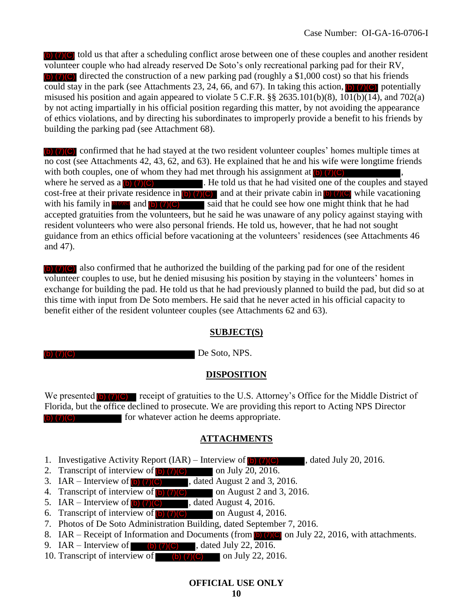(b) (7)(C) told us that after a scheduling conflict arose between one of these couples and another resident volunteer couple who had already reserved De Soto's only recreational parking pad for their RV, (b) (7)(C) directed the construction of a new parking pad (roughly a \$1,000 cost) so that his friends could stay in the park (see Attachments 23, 24, 66, and 67). In taking this action,  $\begin{bmatrix} 0 \\ 0 \end{bmatrix}$  (7) (C) potentially misused his position and again appeared to violate 5 C.F.R.  $\S$ § 2635.101(b)(8), 101(b)(14), and 702(a) by not acting impartially in his official position regarding this matter, by not avoiding the appearance of ethics violations, and by directing his subordinates to improperly provide a benefit to his friends by building the parking pad (see Attachment 68).

(b) (7)(C) confirmed that he had stayed at the two resident volunteer couples' homes multiple times at no cost (see Attachments 42, 43, 62, and 63). He explained that he and his wife were longtime friends with both couples, one of whom they had met through his assignment at  $(b)$   $(7)(C)$ , where he served as a  $\left(\frac{b}{7}\right)\left(\frac{c}{c}\right)$ . He told us that he had visited one of the couples and stayed cost-free at their private residence in  $\left(\frac{1}{2}\right)\left(\frac{1}{2}\right)$  and at their private cabin in  $\left(\frac{1}{2}\right)\left(\frac{1}{2}\right)$  while vacationing with his family in **b**  $\sigma$  and **(b)** (7)(C) said that he could see how one might think that he had accepted gratuities from the volunteers, but he said he was unaware of any policy against staying with resident volunteers who were also personal friends. He told us, however, that he had not sought guidance from an ethics official before vacationing at the volunteers' residences (see Attachments 46 and 47). (b) (7)(C) (b)  $(7)(C)$  and at their private cabin in (b)  $(7)(C)$ 

(b) (7)(C) also confirmed that he authorized the building of the parking pad for one of the resident volunteer couples to use, but he denied misusing his position by staying in the volunteers' homes in exchange for building the pad. He told us that he had previously planned to build the pad, but did so at this time with input from De Soto members. He said that he never acted in his official capacity to benefit either of the resident volunteer couples (see Attachments 62 and 63).

#### **SUBJECT(S)**

(b) (7)(C)

De Soto, NPS.

#### **DISPOSITION**

We presented  $\left| \right\rangle$  (7)(C) receipt of gratuities to the U.S. Attorney's Office for the Middle District of Florida, but the office declined to prosecute. We are providing this report to Acting NPS Director for whatever action he deems appropriate. (b) (7)(C)

#### **ATTACHMENTS**

- 1. Investigative Activity Report  $( IAR ) -$  Interview of  $(b)$  (7)(C) , dated July 20, 2016.
- 2. Transcript of interview of  $\boxed{0}$  (7)(C) on July 20, 2016.
- 3. IAR Interview of  $\phi$  (7)(C) , dated August 2 and 3, 2016.
- 4. Transcript of interview of  $\phi$  (7)(C) on August 2 and 3, 2016.
- 5. IAR Interview of  $\boxed{0}$  (7)(C), dated August 4, 2016. (b) (7)(C)
- 6. Transcript of interview of  $\left(\frac{\rho}{C}\right)$  (7)(C) on August 4, 2016. (b) (7)(C)
- 7. Photos of De Soto Administration Building, dated September 7, 2016.
- 8. IAR Receipt of Information and Documents (from  $\vert \cdot \vert$  (7)(C) on July 22, 2016, with attachments.
- 9. IAR Interview of  $\blacksquare$  (b) (7)(C), dated July 22, 2016.
- 10. Transcript of interview of  $\Box$  (b) (7)(C) on July 22, 2016.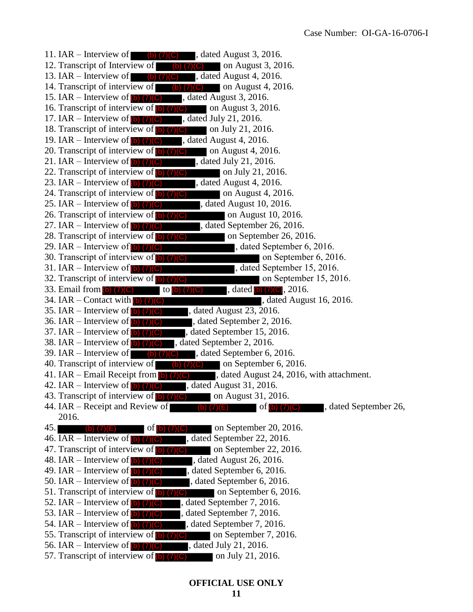11. IAR – Interview of  $\qquad$  (b) (7)(C), dated August 3, 2016. 12. Transcript of Interview of **b**  $(7)(C)$  on August 3, 2016. 13. IAR – Interview of  $\qquad$  (b) (7)(C), dated August 4, 2016. 14. Transcript of interview of  $\Box$  (b) (7)(C) on August 4, 2016. 15. IAR – Interview of  $\overline{b}$  (7)(C) , dated August 3, 2016. 16. Transcript of interview of  $\left( \bullet \right)$  (7)(C) on August 3, 2016. 17. IAR – Interview of  $\left(\frac{b}{c}\right)$  (7)(C), dated July 21, 2016. 18. Transcript of interview of  $(b)$  (7)(C) on July 21, 2016. 19. IAR – Interview of  $\overline{b}$  (7)(C), dated August 4, 2016. 20. Transcript of interview of  $(b)$  (7)(C) on August 4, 2016. 21. IAR – Interview of  $\overline{b}$  (7)(C) , dated July 21, 2016. 22. Transcript of interview of  $\bigcirc$   $\bigcirc$   $\bigcirc$   $\bigcirc$  on July 21, 2016. 23. IAR – Interview of  $\left( \bullet \right)$   $\left( 7 \right)$   $\left( \circ \right)$  , dated August 4, 2016. 24. Transcript of interview of  $\left(\frac{b}{c}\right)$  (7)(C) on August 4, 2016. 25. IAR – Interview of  $\phi$  (7)(C) , dated August 10, 2016. 26. Transcript of interview of  $\left(\frac{b}{c}\right)$  (7)(C) on August 10, 2016. 27. IAR – Interview of  $\phi$  (7)(C) , dated September 26, 2016. 28. Transcript of interview of  $(b)$  (7)(C) on September 26, 2016. 29. IAR – Interview of  $\phi$  (7)(C) decreases and detector of the stated September 6, 2016. 30. Transcript of interview of  $(b)$  (7)(C) on September 6, 2016. 31. IAR – Interview of  $\phi$  (7)(C) and  $\phi$ , dated September 15, 2016. 32. Transcript of interview of  $(b)$  (7)(C) on September 15, 2016. 33. Email from (b) (7)(C) to (b) (7)(C) , dated (b) (7)(C), 2016. 34. IAR – Contact with  $\omega$  (7)(C) contact the stated August 16, 2016. 35. IAR – Interview of  $\Box$  (7)(C)  $\Box$ , dated August 23, 2016. 36. IAR – Interview of  $\Box$  (7)(C) , dated September 2, 2016. 37. IAR – Interview of  $\phi$  (7)(C), dated September 15, 2016. 38. IAR – Interview of  $\phi$  (7)(C), dated September 2, 2016. 39. IAR – Interview of  $\Box$  (b) (7)(C), dated September 6, 2016. 40. Transcript of interview of  $\Box$  (b) (7)(C) on September 6, 2016. 41. IAR – Email Receipt from  $\overline{b}$  (7)(C) , dated August 24, 2016, with attachment. 42. IAR – Interview of  $\phi$  (7)(C), dated August 31, 2016. 43. Transcript of interview of  $(b)$  (7)(C) on August 31, 2016. 44. IAR – Receipt and Review of  $\qquad \qquad (b) (7)(E)$  of  $(b) (7)(C)$ , dated September 26, 2016. 45. **(b)**  $(7)(E)$  of b)  $(7)(C)$  on September 20, 2016. 46. IAR – Interview of  $\omega$  (7)(C), dated September 22, 2016. 47. Transcript of interview of  $\left(\frac{b}{c}\right)$  (7)(C) on September 22, 2016. 48. IAR – Interview of  $\left(\frac{1}{2}\right)$  (7)(C) , dated August 26, 2016. 49. IAR – Interview of  $\overline{(\bullet)}$  (7)(C) , dated September 6, 2016. 50. IAR – Interview of  $\phi$  (7)(C) , dated September 6, 2016. 51. Transcript of interview of  $\phi$  (7)(C) on September 6, 2016. 52. IAR – Interview of  $\phi$  (7)(C), dated September 7, 2016. 53. IAR – Interview of  $\phi$  (7)(C), dated September 7, 2016. 54. IAR – Interview of  $\left( \bullet \right)$  (7)(C) , dated September 7, 2016. 55. Transcript of interview of  $\left(\frac{1}{2}\right)$  (7)(C) on September 7, 2016. 56. IAR – Interview of  $\overline{b}$  (7)(C) , dated July 21, 2016. 57. Transcript of interview of  $\Box$  (7)( $\Box$ ) on July 21, 2016. to (b)  $(7)(C)$ of  $(b)$   $(7)(C)$ of  $(b)$   $(7)(C)$ (b) (7)(C) to (b) (7)(C)<br>act with (b) (7)(C)<br>view of (b) (7)(C)<br>view of (b) (7)(C) , dat<br>view of (b) (7)(C) , dat<br>view of (b) (7)(C) , dat<br>view of (b) (7)(C) , dat<br>finterview of (b) (7)(C)<br>finterview of (b) (7)(C)<br>view of (b) (7)(C) (b) (7)(E) (b) (7)(E) (b) (7)(C)(b) (7)(C) (b) (7)(C) (b) (7)(C) (b) (7)(C) (b) (7)(C) (b) (7)(C)